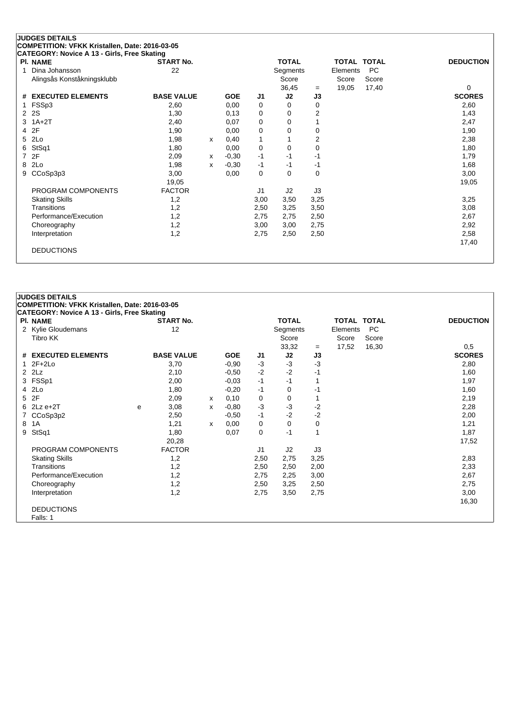| <b>PI. NAME</b>               | <b>START No.</b>  |   |            |                | <b>TOTAL</b> |          |          | TOTAL TOTAL | <b>DEDUCTION</b> |
|-------------------------------|-------------------|---|------------|----------------|--------------|----------|----------|-------------|------------------|
| Dina Johansson<br>1           | 22                |   |            |                | Segments     |          | Elements | <b>PC</b>   |                  |
| Alingsås Konståkningsklubb    |                   |   |            |                | Score        |          | Score    | Score       |                  |
|                               |                   |   |            |                | 36,45        | $=$      | 19,05    | 17,40       | 0                |
| <b>EXECUTED ELEMENTS</b><br># | <b>BASE VALUE</b> |   | <b>GOE</b> | J <sub>1</sub> | J2           | J3       |          |             | <b>SCORES</b>    |
| FSSp3                         | 2,60              |   | 0,00       | 0              | $\Omega$     | 0        |          |             | 2,60             |
| 2S<br>2                       | 1,30              |   | 0,13       | 0              | 0            | 2        |          |             | 1,43             |
| $1A+2T$<br>3                  | 2,40              |   | 0,07       | 0              | 0            |          |          |             | 2,47             |
| 2F<br>4                       | 1,90              |   | 0,00       | 0              | $\Omega$     | $\Omega$ |          |             | 1,90             |
| 2Lo<br>5.                     | 1,98              | x | 0,40       | 1              |              | 2        |          |             | 2,38             |
| StSq1<br>6                    | 1,80              |   | 0,00       | 0              | 0            | 0        |          |             | 1,80             |
| 2F<br>7                       | 2,09              | x | $-0,30$    | -1             | $-1$         | -1       |          |             | 1,79             |
| 2Lo<br>8                      | 1,98              | x | $-0,30$    | -1             | $-1$         | -1       |          |             | 1,68             |
| CCoSp3p3<br>9                 | 3,00              |   | 0,00       | 0              | $\Omega$     | 0        |          |             | 3,00             |
|                               | 19,05             |   |            |                |              |          |          |             | 19,05            |
| PROGRAM COMPONENTS            | <b>FACTOR</b>     |   |            | J <sub>1</sub> | J2           | J3       |          |             |                  |
| <b>Skating Skills</b>         | 1,2               |   |            | 3,00           | 3,50         | 3,25     |          |             | 3,25             |
| Transitions                   | 1,2               |   |            | 2,50           | 3,25         | 3,50     |          |             | 3,08             |
| Performance/Execution         | 1,2               |   |            | 2,75           | 2,75         | 2,50     |          |             | 2,67             |
| Choreography                  | 1,2               |   |            | 3,00           | 3,00         | 2,75     |          |             | 2,92             |
| Interpretation                | 1,2               |   |            | 2,75           | 2,50         | 2,50     |          |             | 2,58             |
|                               |                   |   |            |                |              |          |          |             | 17,40            |

# **JUDGES DETAILS**

**COMPETITION: VFKK Kristallen, Date: 2016-03-05**

| CATEGORY: Novice A 13 - Girls, Free Skating |   |                   |   |            |      |              |      |             |           |                  |
|---------------------------------------------|---|-------------------|---|------------|------|--------------|------|-------------|-----------|------------------|
| <b>PI. NAME</b>                             |   | <b>START No.</b>  |   |            |      | <b>TOTAL</b> |      | TOTAL TOTAL |           | <b>DEDUCTION</b> |
| 2 Kylie Gloudemans                          |   | 12                |   |            |      | Segments     |      | Elements    | <b>PC</b> |                  |
| Tibro KK                                    |   |                   |   |            |      | Score        |      | Score       | Score     |                  |
|                                             |   |                   |   |            |      | 33,32        | $=$  | 17,52       | 16,30     | 0,5              |
| # EXECUTED ELEMENTS                         |   | <b>BASE VALUE</b> |   | <b>GOE</b> | J1   | J2           | J3   |             |           | <b>SCORES</b>    |
| $1 2F+2Lo$                                  |   | 3,70              |   | $-0.90$    | -3   | $-3$         | $-3$ |             |           | 2,80             |
| $2$ $2Lz$                                   |   | 2,10              |   | $-0.50$    | $-2$ | $-2$         | $-1$ |             |           | 1,60             |
| 3 FSSp1                                     |   | 2,00              |   | $-0,03$    | $-1$ | $-1$         |      |             |           | 1,97             |
| 4 2Lo                                       |   | 1,80              |   | $-0,20$    | -1   | 0            | $-1$ |             |           | 1,60             |
| 5 2F                                        |   | 2,09              | x | 0,10       | 0    | 0            |      |             |           | 2,19             |
| $6$ 2Lz e+2T                                | e | 3,08              | x | $-0,80$    | -3   | $-3$         | $-2$ |             |           | 2,28             |
| 7 CCoSp3p2                                  |   | 2,50              |   | $-0,50$    | $-1$ | $-2$         | $-2$ |             |           | 2,00             |
| 8 1A                                        |   | 1,21              | х | 0,00       | 0    | 0            | 0    |             |           | 1,21             |
| 9 StSq1                                     |   | 1,80              |   | 0,07       | 0    | $-1$         |      |             |           | 1,87             |
|                                             |   | 20,28             |   |            |      |              |      |             |           | 17,52            |
| PROGRAM COMPONENTS                          |   | <b>FACTOR</b>     |   |            | J1   | J2           | J3   |             |           |                  |
| <b>Skating Skills</b>                       |   | 1,2               |   |            | 2,50 | 2,75         | 3,25 |             |           | 2,83             |
| Transitions                                 |   | 1,2               |   |            | 2,50 | 2,50         | 2,00 |             |           | 2,33             |
| Performance/Execution                       |   | 1,2               |   |            | 2,75 | 2,25         | 3,00 |             |           | 2,67             |
| Choreography                                |   | 1,2               |   |            | 2,50 | 3,25         | 2,50 |             |           | 2,75             |
| Interpretation                              |   | 1,2               |   |            | 2,75 | 3,50         | 2,75 |             |           | 3,00             |
|                                             |   |                   |   |            |      |              |      |             |           | 16,30            |
| <b>DEDUCTIONS</b>                           |   |                   |   |            |      |              |      |             |           |                  |
| Falls: 1                                    |   |                   |   |            |      |              |      |             |           |                  |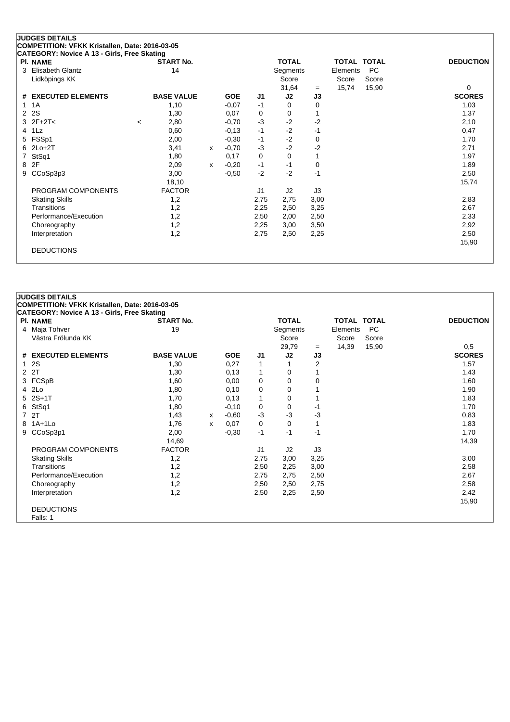|   | 0. ILOUNT. NUVICE A TJ - OIITS, ITTEE ONGUING<br>PI. NAME |         | <b>START No.</b>  |   |            |      | <b>TOTAL</b> |      | TOTAL TOTAL |           | <b>DEDUCTION</b> |  |
|---|-----------------------------------------------------------|---------|-------------------|---|------------|------|--------------|------|-------------|-----------|------------------|--|
|   | 3 Elisabeth Glantz                                        |         | 14                |   |            |      | Segments     |      | Elements    | <b>PC</b> |                  |  |
|   | Lidköpings KK                                             |         |                   |   |            |      | Score        |      | Score       | Score     |                  |  |
|   |                                                           |         |                   |   |            |      | 31,64        | $=$  | 15,74       | 15,90     | $\mathbf 0$      |  |
|   | # EXECUTED ELEMENTS                                       |         | <b>BASE VALUE</b> |   | <b>GOE</b> | J1   | J2           | J3   |             |           | <b>SCORES</b>    |  |
| 1 | 1A                                                        |         | 1,10              |   | $-0.07$    | $-1$ | 0            | 0    |             |           | 1,03             |  |
|   | 2 2 S                                                     |         | 1,30              |   | 0,07       | 0    | 0            |      |             |           | 1,37             |  |
|   | $3 \t2F+2T<$                                              | $\,<\,$ | 2,80              |   | $-0,70$    | $-3$ | $-2$         | $-2$ |             |           | 2,10             |  |
|   | 4 1Lz                                                     |         | 0,60              |   | $-0,13$    | $-1$ | $-2$         | $-1$ |             |           | 0,47             |  |
|   | 5 FSSp1                                                   |         | 2,00              |   | $-0,30$    | -1   | $-2$         | 0    |             |           | 1,70             |  |
|   | $6$ 2Lo+2T                                                |         | 3,41              | x | $-0,70$    | $-3$ | $-2$         | $-2$ |             |           | 2,71             |  |
|   | 7 StSq1                                                   |         | 1,80              |   | 0,17       | 0    | 0            |      |             |           | 1,97             |  |
|   | 8 2F                                                      |         | 2,09              | х | $-0,20$    | $-1$ | $-1$         | 0    |             |           | 1,89             |  |
|   | 9 CCoSp3p3                                                |         | 3,00              |   | $-0.50$    | $-2$ | $-2$         | $-1$ |             |           | 2,50             |  |
|   |                                                           |         | 18,10             |   |            |      |              |      |             |           | 15,74            |  |
|   | PROGRAM COMPONENTS                                        |         | <b>FACTOR</b>     |   |            | J1   | J2           | J3   |             |           |                  |  |
|   | <b>Skating Skills</b>                                     |         | 1,2               |   |            | 2,75 | 2,75         | 3,00 |             |           | 2,83             |  |
|   | Transitions                                               |         | 1,2               |   |            | 2,25 | 2,50         | 3,25 |             |           | 2,67             |  |
|   | Performance/Execution                                     |         | 1,2               |   |            | 2,50 | 2,00         | 2,50 |             |           | 2,33             |  |
|   | Choreography                                              |         | 1,2               |   |            | 2,25 | 3,00         | 3,50 |             |           | 2,92             |  |
|   | Interpretation                                            |         | 1,2               |   |            | 2,75 | 2,50         | 2,25 |             |           | 2,50             |  |
|   |                                                           |         |                   |   |            |      |              |      |             |           | 15,90            |  |
|   | <b>DEDUCTIONS</b>                                         |         |                   |   |            |      |              |      |             |           |                  |  |
|   |                                                           |         |                   |   |            |      |              |      |             |           |                  |  |

## **JUDGES DETAILS COMPETITION: VFKK Kristallen, Date: 2016-03-05 CATEGORY: Novice A 13 - Girls, Free Skating Pl. NAME START No. TOTAL TOTAL TOTAL DEDUCTION** 4 Maja Tohver 19 19 Segments Elements PC Västra Frölunda KK Score Score Score Score Score Score Score Score Score Score Score Score Score Score Score Score Score Score Score Score Score Score Score Score Score Score Score Score Score Score Score Score Score Score 29,79 = 14,39 15,90 0,5<br> **32 J3 SCORES # EXECUTED ELEMENTS BASE VALUE GOE J1 J2 J3 SCORES**  $1.30$   $1.30$   $1.30$   $1.57$   $1.57$   $1.57$   $1.57$ 2 2T 1,30 0,13 1 0 1 1,43 3 FCSpB 1,60 0,00 0 0 0 1,60 4 2Lo 1,80 0,10 0 0 1 1,90 5 2S+1T 1,70 0,13 1 0 1 1,83 6 StSq1 1,80 -0,10 0 0 -1 1,70 7 2T 1,43 <sup>x</sup> -0,60 -3 -3 -3 0,83 8 1A+1Lo 1,76 <sup>x</sup> 0,07 0 0 1 1,83 9 CCoSp3p1 2,00 -0,30 -1 -1 -1 1,70 14,69 14,39 PROGRAM COMPONENTS FACTOR 11 J2 J3 Skating Skills 1,2 2,75 3,00 3,25 3,00 Transitions 1,2 2,50 2,25 3,00 2,58 Performance/Execution 1,2 1,2 2,75 2,75 2,50 2,67 Choreography 1,2 2,50 2,50 2,75 2,58 Interpretation 1,2 2,50 2,25 2,50 2,42 15,90 DEDUCTIONS Falls: 1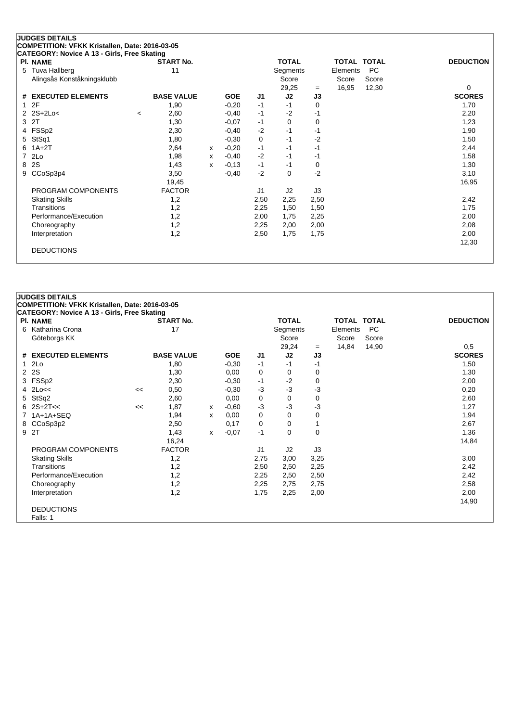### **JUDGES DETAILS COMPETITION: VFKK Kristallen, Date: 2016-03-05 CATEGORY: Novice A 13 - Girls, Free Skating Pl. NAME START No. TOTAL TOTAL TOTAL DEDUCTION** 5 Tuva Hallberg 11 1 Segments Elements PC<br>Alingsås Konståkningsklubb 11 1 1 Score Score Score Score Score Alingsås Konståkningsklubb Score Score Score Score Score Score Score Score Score Score Score Score Score Score Score Score Score Score Score Score Score Score Score Score Score Score Score Score Score Score Score Score Sco  $=$  16,95 12,30 0 **# EXECUTED ELEMENTS BASE VALUE GOE J1 J2 J3 SCORES** 1 2F 1,90 -0,20 -1 -1 0 1,70 2 2S+2Lo< <sup>&</sup>lt; 2,60 -0,40 -1 -2 -1 2,20  $3$  2T  $1,30$   $-0,07$   $-1$   $0$   $0$   $-1$   $1,23$ 4 FSSp2 2,30 -0,40 -2 -1 -1 1,90 5 StSq1 1,80 -0,30 0 -1 -2 1,50 6 1A+2T 2,64 <sup>x</sup> -0,20 -1 -1 -1 2,44 7 2Lo 1,98 <sup>x</sup> -0,40 -2 -1 -1 1,58 8 2S 1,43 <sup>x</sup> -0,13 -1 -1 0 1,30 9 CCoSp3p4 3,50 -0,40 -2 0 -2 3,10 19,45 16,95 PROGRAM COMPONENTS FACTOR  $J1$  J2 J3 Skating Skills 1,2 2,50 2,25 2,50 2,42 Transitions 1,2 2,25 1,50 1,50 1,75 Performance/Execution 1,2 1,2 2,00 1,75 2,25 2,00 Choreography 1,2 2,25 2,00 2,00 2,08 Interpretation 1,2 2,50 1,75 1,75 2,00 12,30 DEDUCTIONS

## **JUDGES DETAILS COMPETITION: VFKK Kristallen, Date: 2016-03-05 CATEGORY: Novice A 13 - Girls, Free Skating Pl. NAME START No. TOTAL TOTAL TOTAL DEDUCTION** 6 Katharina Crona 17 17 Segments Elements PC Göteborgs KK Score Score Score 29,24 <sup>=</sup> 14,84 14,90 0,5 **# EXECUTED ELEMENTS BASE VALUE GOE J1 J2 J3 SCORES** 1 2Lo 1,80 -0,30 -1 -1 -1 1,50 2 2S 1,30 0,00 0 0 0 1,30 3 FSSp2 2,30 -0,30 -1 -2 0 2,00 4 2Lo<< << 0,50 -0,30 -3 -3 -3 0,20 5 StSq2 2,60 0,00 0 0 0 2,60 6 2S+2T<< << 1,87 <sup>x</sup> -0,60 -3 -3 -3 1,27 7 1A+1A+SEQ 1,94 x 0,00 0 0 0 1,94 1,94 8 CCoSp3p2 2,50 0,17 0 0 1 2,67 2,67 2,67 9 2T 1,43 <sup>x</sup> -0,07 -1 0 0 1,36 16,24 14,84 PROGRAM COMPONENTS FACTOR THE STATE STATE STATE STATE STATE STATE STATE STATE STATE STATE STATE STATE STATE ST Skating Skills 1,2 2,75 3,00 3,25 3,00 Transitions 1,2 2,50 2,50 2,25 2,42 Performance/Execution 1,2 1,2 2,25 2,50 2,50 2,42 Choreography 1,2 2,25 2,75 2,75 2,58 Interpretation 1,2 1,75 2,25 2,00 2,00 14,90 DEDUCTIONS Falls: 1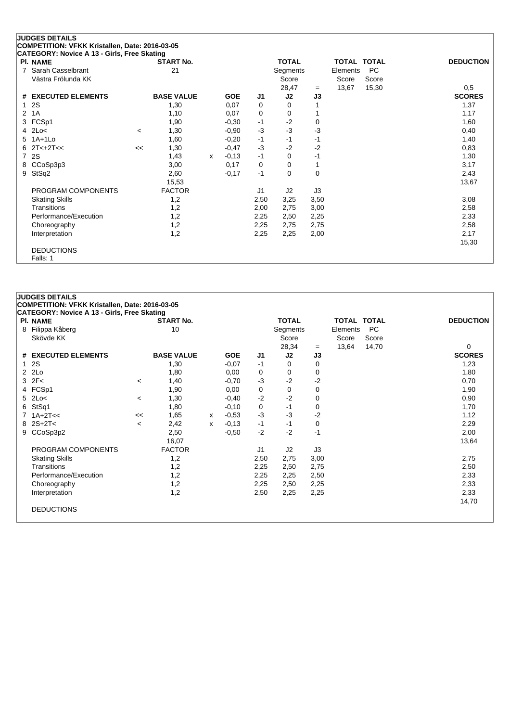| ,,,,,,,,,,,,,,,,<br>$5.15, 1.55$ $5.151$<br>PI. NAME |         | <b>START No.</b>  |   |            |      | <b>TOTAL</b> |      | TOTAL TOTAL |       | <b>DEDUCTION</b> |
|------------------------------------------------------|---------|-------------------|---|------------|------|--------------|------|-------------|-------|------------------|
| 7 Sarah Casselbrant                                  |         | 21                |   |            |      | Segments     |      | Elements    | PC    |                  |
| Västra Frölunda KK                                   |         |                   |   |            |      | Score        |      | Score       | Score |                  |
|                                                      |         |                   |   |            |      | 28,47        | $=$  | 13,67       | 15,30 | 0,5              |
| # EXECUTED ELEMENTS                                  |         | <b>BASE VALUE</b> |   | <b>GOE</b> | J1   | J2           | J3   |             |       | <b>SCORES</b>    |
| 12S                                                  |         | 1,30              |   | 0,07       | 0    | 0            |      |             |       | 1,37             |
| 2 1A                                                 |         | 1,10              |   | 0,07       | 0    | 0            |      |             |       | 1,17             |
| 3 FCSp1                                              |         | 1,90              |   | $-0,30$    | $-1$ | $-2$         | 0    |             |       | 1,60             |
| $4$ 2Lo<                                             | $\prec$ | 1,30              |   | $-0,90$    | $-3$ | $-3$         | $-3$ |             |       | 0,40             |
| 5 1A+1Lo                                             |         | 1,60              |   | $-0,20$    | -1   | $-1$         | $-1$ |             |       | 1,40             |
| $6 \quad 2T < +2T <$                                 | <<      | 1,30              |   | $-0,47$    | -3   | $-2$         | $-2$ |             |       | 0,83             |
| 7 2S                                                 |         | 1,43              | x | $-0,13$    | -1   | 0            | $-1$ |             |       | 1,30             |
| 8 CCoSp3p3                                           |         | 3,00              |   | 0,17       | 0    | 0            |      |             |       | 3,17             |
| 9 StSq2                                              |         | 2,60              |   | $-0,17$    | $-1$ | $\mathbf 0$  | 0    |             |       | 2,43             |
|                                                      |         | 15,53             |   |            |      |              |      |             |       | 13,67            |
| PROGRAM COMPONENTS                                   |         | <b>FACTOR</b>     |   |            | J1   | J2           | J3   |             |       |                  |
| <b>Skating Skills</b>                                |         | 1,2               |   |            | 2,50 | 3,25         | 3,50 |             |       | 3,08             |
| <b>Transitions</b>                                   |         | 1,2               |   |            | 2,00 | 2,75         | 3,00 |             |       | 2,58             |
| Performance/Execution                                |         | 1,2               |   |            | 2,25 | 2,50         | 2,25 |             |       | 2,33             |
| Choreography                                         |         | 1,2               |   |            | 2,25 | 2,75         | 2,75 |             |       | 2,58             |
| Interpretation                                       |         | 1,2               |   |            | 2,25 | 2,25         | 2,00 |             |       | 2,17             |
|                                                      |         |                   |   |            |      |              |      |             |       | 15,30            |
| <b>DEDUCTIONS</b>                                    |         |                   |   |            |      |              |      |             |       |                  |
| Falls: 1                                             |         |                   |   |            |      |              |      |             |       |                  |

## **JUDGES DETAILS**

**COMPETITION: VFKK Kristallen, Date: 2016-03-05**

| <b>CATEGORY: Novice A 13 - Girls, Free Skating</b> |                          |                   |   |            |      |              |      |                    |           |                  |
|----------------------------------------------------|--------------------------|-------------------|---|------------|------|--------------|------|--------------------|-----------|------------------|
| <b>PI. NAME</b>                                    |                          | <b>START No.</b>  |   |            |      | <b>TOTAL</b> |      | <b>TOTAL TOTAL</b> |           | <b>DEDUCTION</b> |
| 8 Filippa Kåberg                                   |                          | 10                |   |            |      | Segments     |      | Elements           | <b>PC</b> |                  |
| Skövde KK                                          |                          |                   |   |            |      | Score        |      | Score              | Score     |                  |
|                                                    |                          |                   |   |            |      | 28,34        | $=$  | 13,64              | 14,70     | 0                |
| # EXECUTED ELEMENTS                                |                          | <b>BASE VALUE</b> |   | <b>GOE</b> | J1   | J2           | J3   |                    |           | <b>SCORES</b>    |
| 12S                                                |                          | 1,30              |   | $-0.07$    | $-1$ | 0            | 0    |                    |           | 1,23             |
| $2$ $2Lo$                                          |                          | 1,80              |   | 0,00       | 0    | 0            | 0    |                    |           | 1,80             |
| $3$ $2F<$                                          | $\,<\,$                  | 1,40              |   | $-0,70$    | $-3$ | $-2$         | $-2$ |                    |           | 0,70             |
| 4 FCSp1                                            |                          | 1,90              |   | 0,00       | 0    | 0            | 0    |                    |           | 1,90             |
| $5$ 2Lo<                                           | $\overline{\phantom{a}}$ | 1,30              |   | $-0,40$    | $-2$ | $-2$         | 0    |                    |           | 0,90             |
| 6 StSq1                                            |                          | 1,80              |   | $-0,10$    | 0    | -1           | 0    |                    |           | 1,70             |
| $7.1A+2T<<$                                        | <<                       | 1,65              | x | $-0.53$    | $-3$ | $-3$         | $-2$ |                    |           | 1,12             |
| $8$ 2S+2T<                                         | $\,<\,$                  | 2,42              | x | $-0,13$    | $-1$ | -1           | 0    |                    |           | 2,29             |
| 9 CCoSp3p2                                         |                          | 2,50              |   | $-0.50$    | $-2$ | $-2$         | $-1$ |                    |           | 2,00             |
|                                                    |                          | 16,07             |   |            |      |              |      |                    |           | 13,64            |
| PROGRAM COMPONENTS                                 |                          | <b>FACTOR</b>     |   |            | J1   | J2           | J3   |                    |           |                  |
| <b>Skating Skills</b>                              |                          | 1,2               |   |            | 2,50 | 2,75         | 3,00 |                    |           | 2,75             |
| <b>Transitions</b>                                 |                          | 1,2               |   |            | 2,25 | 2,50         | 2,75 |                    |           | 2,50             |
| Performance/Execution                              |                          | 1,2               |   |            | 2,25 | 2,25         | 2,50 |                    |           | 2,33             |
| Choreography                                       |                          | 1,2               |   |            | 2,25 | 2,50         | 2,25 |                    |           | 2,33             |
| Interpretation                                     |                          | 1,2               |   |            | 2,50 | 2,25         | 2,25 |                    |           | 2,33             |
|                                                    |                          |                   |   |            |      |              |      |                    |           | 14,70            |
| <b>DEDUCTIONS</b>                                  |                          |                   |   |            |      |              |      |                    |           |                  |
|                                                    |                          |                   |   |            |      |              |      |                    |           |                  |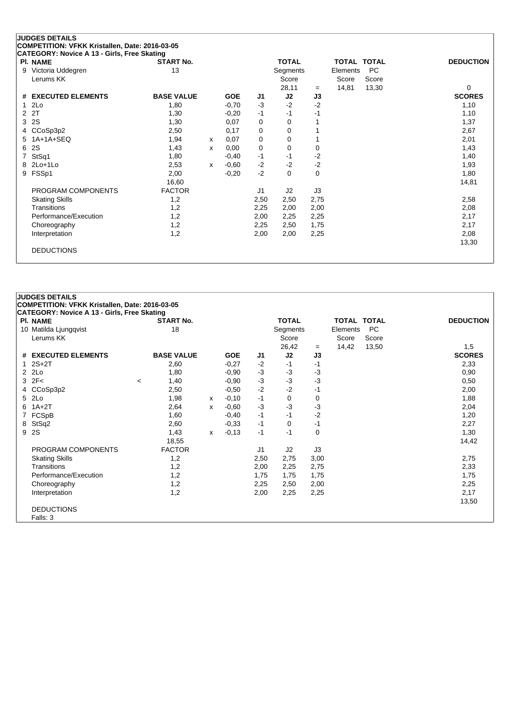|   | <b>JUDGES DETAILS</b><br>COMPETITION: VFKK Kristallen, Date: 2016-03-05 |                   |              |            |      |                |              |          |                    |                  |
|---|-------------------------------------------------------------------------|-------------------|--------------|------------|------|----------------|--------------|----------|--------------------|------------------|
|   | CATEGORY: Novice A 13 - Girls, Free Skating                             |                   |              |            |      |                |              |          |                    |                  |
|   | <b>PI. NAME</b>                                                         | <b>START No.</b>  |              |            |      | <b>TOTAL</b>   |              |          | <b>TOTAL TOTAL</b> | <b>DEDUCTION</b> |
| 9 | Victoria Uddegren                                                       | 13                |              |            |      | Segments       |              | Elements | <b>PC</b>          |                  |
|   | Lerums KK                                                               |                   |              |            |      | Score          |              | Score    | Score              |                  |
|   |                                                                         |                   |              |            |      | 28,11          | $=$          | 14,81    | 13,30              | 0                |
| # | <b>EXECUTED ELEMENTS</b>                                                | <b>BASE VALUE</b> |              | <b>GOE</b> | J1   | J2             | J3           |          |                    | <b>SCORES</b>    |
|   | 2Lo                                                                     | 1,80              |              | $-0,70$    | $-3$ | $-2$           | $-2$         |          |                    | 1,10             |
| 2 | 2T                                                                      | 1,30              |              | $-0,20$    | $-1$ | $-1$           | -1           |          |                    | 1,10             |
| 3 | 2S                                                                      | 1,30              |              | 0,07       | 0    | $\Omega$       |              |          |                    | 1,37             |
| 4 | CCoSp3p2                                                                | 2,50              |              | 0,17       | 0    | 0              | $\mathbf{1}$ |          |                    | 2,67             |
| 5 | 1A+1A+SEQ                                                               | 1,94              | $\mathsf{x}$ | 0,07       | 0    | 0              |              |          |                    | 2,01             |
| 6 | 2S                                                                      | 1,43              | X            | 0,00       | 0    | 0              | 0            |          |                    | 1,43             |
|   | StSq1                                                                   | 1,80              |              | $-0,40$    | $-1$ | $-1$           | $-2$         |          |                    | 1,40             |
| 8 | $2Lo+1Lo$                                                               | 2,53              | x            | $-0.60$    | $-2$ | $-2$           | $-2$         |          |                    | 1,93             |
| 9 | FSSp1                                                                   | 2,00              |              | $-0,20$    | $-2$ | 0              | $\mathbf 0$  |          |                    | 1,80             |
|   |                                                                         | 16,60             |              |            |      |                |              |          |                    | 14,81            |
|   | PROGRAM COMPONENTS                                                      | <b>FACTOR</b>     |              |            | J1   | J <sub>2</sub> | J3           |          |                    |                  |
|   | <b>Skating Skills</b>                                                   | 1,2               |              |            | 2,50 | 2,50           | 2,75         |          |                    | 2,58             |
|   | Transitions                                                             | 1,2               |              |            | 2,25 | 2,00           | 2,00         |          |                    | 2,08             |
|   | Performance/Execution                                                   | 1,2               |              |            | 2,00 | 2,25           | 2,25         |          |                    | 2,17             |
|   | Choreography                                                            | 1,2               |              |            | 2,25 | 2,50           | 1,75         |          |                    | 2,17             |
|   | Interpretation                                                          | 1,2               |              |            | 2,00 | 2,00           | 2,25         |          |                    | 2,08             |
|   |                                                                         |                   |              |            |      |                |              |          |                    | 13,30            |
|   | <b>DEDUCTIONS</b>                                                       |                   |              |            |      |                |              |          |                    |                  |
|   |                                                                         |                   |              |            |      |                |              |          |                    |                  |

|   | <b>JUDGES DETAILS</b>                              |         |                   |   |            |                |              |          |                    |           |                  |
|---|----------------------------------------------------|---------|-------------------|---|------------|----------------|--------------|----------|--------------------|-----------|------------------|
|   | COMPETITION: VFKK Kristallen, Date: 2016-03-05     |         |                   |   |            |                |              |          |                    |           |                  |
|   | <b>CATEGORY: Novice A 13 - Girls, Free Skating</b> |         |                   |   |            |                |              |          |                    |           |                  |
|   | PI. NAME                                           |         | <b>START No.</b>  |   |            |                | <b>TOTAL</b> |          | <b>TOTAL TOTAL</b> |           | <b>DEDUCTION</b> |
|   | 10 Matilda Ljungqvist                              |         | 18                |   |            |                | Segments     |          | Elements           | <b>PC</b> |                  |
|   | Lerums KK                                          |         |                   |   |            |                | Score        |          | Score              | Score     |                  |
|   |                                                    |         |                   |   |            |                | 26,42        | $=$      | 14,42              | 13,50     | 1,5              |
|   | # EXECUTED ELEMENTS                                |         | <b>BASE VALUE</b> |   | <b>GOE</b> | J1             | J2           | J3       |                    |           | <b>SCORES</b>    |
|   | $12S+2T$                                           |         | 2,60              |   | $-0,27$    | $-2$           | $-1$         | $-1$     |                    |           | 2,33             |
|   | 2 2Lo                                              |         | 1,80              |   | $-0.90$    | $-3$           | $-3$         | $-3$     |                    |           | 0,90             |
|   | $3$ $2F<$                                          | $\prec$ | 1,40              |   | $-0,90$    | $-3$           | $-3$         | $-3$     |                    |           | 0,50             |
|   | 4 CCoSp3p2                                         |         | 2,50              |   | $-0.50$    | $-2$           | $-2$         | $-1$     |                    |           | 2,00             |
| 5 | 2Lo                                                |         | 1,98              | X | $-0,10$    | $-1$           | 0            | 0        |                    |           | 1,88             |
| 6 | $1A+2T$                                            |         | 2,64              | x | $-0.60$    | $-3$           | $-3$         | $-3$     |                    |           | 2,04             |
|   | 7 FCSpB                                            |         | 1,60              |   | $-0,40$    | $-1$           | $-1$         | $-2$     |                    |           | 1,20             |
| 8 | StSq2                                              |         | 2,60              |   | $-0,33$    | $-1$           | 0            | $-1$     |                    |           | 2,27             |
|   | 9 2S                                               |         | 1,43              | x | $-0,13$    | $-1$           | $-1$         | $\Omega$ |                    |           | 1,30             |
|   |                                                    |         | 18,55             |   |            |                |              |          |                    |           | 14,42            |
|   | PROGRAM COMPONENTS                                 |         | <b>FACTOR</b>     |   |            | J <sub>1</sub> | J2           | J3       |                    |           |                  |
|   | <b>Skating Skills</b>                              |         | 1,2               |   |            | 2,50           | 2,75         | 3,00     |                    |           | 2,75             |
|   | Transitions                                        |         | 1,2               |   |            | 2,00           | 2,25         | 2,75     |                    |           | 2,33             |
|   | Performance/Execution                              |         | 1,2               |   |            | 1,75           | 1,75         | 1,75     |                    |           | 1,75             |
|   | Choreography                                       |         | 1,2               |   |            | 2,25           | 2,50         | 2,00     |                    |           | 2,25             |
|   | Interpretation                                     |         | 1,2               |   |            | 2,00           | 2,25         | 2,25     |                    |           | 2,17             |
|   |                                                    |         |                   |   |            |                |              |          |                    |           | 13,50            |
|   | <b>DEDUCTIONS</b>                                  |         |                   |   |            |                |              |          |                    |           |                  |
|   | Falls: 3                                           |         |                   |   |            |                |              |          |                    |           |                  |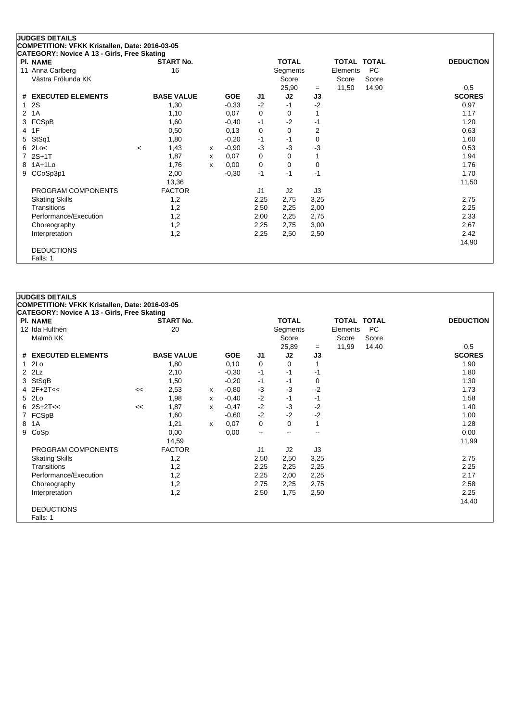| <b>PI. NAME</b>               |         | <b>START No.</b>  |   |            |                | <b>TOTAL</b> |                | <b>TOTAL TOTAL</b> |           | <b>DEDUCTION</b> |
|-------------------------------|---------|-------------------|---|------------|----------------|--------------|----------------|--------------------|-----------|------------------|
| 11 Anna Carlberg              |         | 16                |   |            |                | Segments     |                | Elements           | <b>PC</b> |                  |
| Västra Frölunda KK            |         |                   |   |            |                | Score        |                | Score              | Score     |                  |
|                               |         |                   |   |            |                | 25,90        | $=$            | 11,50              | 14,90     | 0,5              |
| <b>EXECUTED ELEMENTS</b><br># |         | <b>BASE VALUE</b> |   | <b>GOE</b> | J1             | J2           | J3             |                    |           | <b>SCORES</b>    |
| 2S<br>1                       |         | 1,30              |   | $-0.33$    | $-2$           | $-1$         | $-2$           |                    |           | 0,97             |
| 1A<br>2                       |         | 1,10              |   | 0,07       | 0              | 0            | 1              |                    |           | 1,17             |
| FCSpB<br>3                    |         | 1,60              |   | $-0,40$    | $-1$           | $-2$         | $-1$           |                    |           | 1,20             |
| 1F<br>4                       |         | 0,50              |   | 0,13       | 0              | 0            | $\overline{2}$ |                    |           | 0,63             |
| StSq1<br>5                    |         | 1,80              |   | $-0,20$    | -1             | $-1$         | 0              |                    |           | 1,60             |
| 2Lo<<br>6                     | $\prec$ | 1,43              | X | $-0,90$    | $-3$           | -3           | $-3$           |                    |           | 0,53             |
| $2S+1T$                       |         | 1,87              | x | 0,07       | 0              | 0            |                |                    |           | 1,94             |
| $1A+1L0$<br>8                 |         | 1,76              | x | 0,00       | $\Omega$       | $\Omega$     | 0              |                    |           | 1,76             |
| CCoSp3p1<br>9                 |         | 2,00              |   | $-0,30$    | $-1$           | -1           | $-1$           |                    |           | 1,70             |
|                               |         | 13,36             |   |            |                |              |                |                    |           | 11,50            |
| PROGRAM COMPONENTS            |         | <b>FACTOR</b>     |   |            | J <sub>1</sub> | J2           | J3             |                    |           |                  |
| <b>Skating Skills</b>         |         | 1,2               |   |            | 2,25           | 2,75         | 3,25           |                    |           | 2,75             |
| Transitions                   |         | 1,2               |   |            | 2,50           | 2,25         | 2,00           |                    |           | 2,25             |
| Performance/Execution         |         | 1,2               |   |            | 2,00           | 2,25         | 2,75           |                    |           | 2,33             |
| Choreography                  |         | 1,2               |   |            | 2,25           | 2,75         | 3,00           |                    |           | 2,67             |
| Interpretation                |         | 1,2               |   |            | 2,25           | 2,50         | 2,50           |                    |           | 2,42             |
|                               |         |                   |   |            |                |              |                |                    |           | 14,90            |

|   | <b>JUDGES DETAILS</b>                                                 |    |                   |   |            |                          |              |      |                    |           |                  |
|---|-----------------------------------------------------------------------|----|-------------------|---|------------|--------------------------|--------------|------|--------------------|-----------|------------------|
|   | COMPETITION: VFKK Kristallen, Date: 2016-03-05                        |    |                   |   |            |                          |              |      |                    |           |                  |
|   | <b>CATEGORY: Novice A 13 - Girls, Free Skating</b><br><b>PI. NAME</b> |    | <b>START No.</b>  |   |            |                          | <b>TOTAL</b> |      | <b>TOTAL TOTAL</b> |           | <b>DEDUCTION</b> |
|   | 12 Ida Hulthén                                                        |    | 20                |   |            |                          | Segments     |      | Elements           | <b>PC</b> |                  |
|   | Malmö KK                                                              |    |                   |   |            |                          | Score        |      | Score              | Score     |                  |
|   |                                                                       |    |                   |   |            |                          | 25,89        | $=$  | 11,99              | 14,40     | 0,5              |
|   | # EXECUTED ELEMENTS                                                   |    | <b>BASE VALUE</b> |   | <b>GOE</b> | J1                       | J2           | J3   |                    |           | <b>SCORES</b>    |
|   | $12$ Lo                                                               |    | 1,80              |   | 0,10       | 0                        | $\Omega$     |      |                    |           | 1,90             |
|   | $2$ $2$ Lz                                                            |    | 2,10              |   | $-0,30$    | $-1$                     | $-1$         | $-1$ |                    |           | 1,80             |
|   | 3 StSqB                                                               |    | 1,50              |   | $-0,20$    | $-1$                     | $-1$         | 0    |                    |           | 1,30             |
|   | $4$ $2F+2T<<$                                                         | << | 2,53              | x | $-0.80$    | $-3$                     | $-3$         | $-2$ |                    |           | 1,73             |
|   | 5 2Lo                                                                 |    | 1,98              | x | $-0,40$    | $-2$                     | $-1$         | $-1$ |                    |           | 1,58             |
|   | $6 \quad 2S + 2T <<$                                                  | << | 1,87              | x | $-0,47$    | $-2$                     | $-3$         | $-2$ |                    |           | 1,40             |
|   | 7 FCSpB                                                               |    | 1,60              |   | $-0.60$    | $-2$                     | $-2$         | $-2$ |                    |           | 1,00             |
| 8 | 1A                                                                    |    | 1,21              | x | 0,07       | 0                        | $\mathbf 0$  | 1    |                    |           | 1,28             |
| 9 | CoSp                                                                  |    | 0,00              |   | 0,00       | $\overline{\phantom{a}}$ | --           | --   |                    |           | 0,00             |
|   |                                                                       |    | 14,59             |   |            |                          |              |      |                    |           | 11,99            |
|   | PROGRAM COMPONENTS                                                    |    | <b>FACTOR</b>     |   |            | J1                       | J2           | J3   |                    |           |                  |
|   | <b>Skating Skills</b>                                                 |    | 1,2               |   |            | 2,50                     | 2,50         | 3,25 |                    |           | 2,75             |
|   | Transitions                                                           |    | 1,2               |   |            | 2,25                     | 2,25         | 2,25 |                    |           | 2,25             |
|   | Performance/Execution                                                 |    | 1,2               |   |            | 2,25                     | 2,00         | 2,25 |                    |           | 2,17             |
|   | Choreography                                                          |    | 1,2               |   |            | 2,75                     | 2,25         | 2,75 |                    |           | 2,58             |
|   | Interpretation                                                        |    | 1,2               |   |            | 2,50                     | 1,75         | 2,50 |                    |           | 2,25             |
|   |                                                                       |    |                   |   |            |                          |              |      |                    |           | 14,40            |
|   | <b>DEDUCTIONS</b>                                                     |    |                   |   |            |                          |              |      |                    |           |                  |
|   | Falls: 1                                                              |    |                   |   |            |                          |              |      |                    |           |                  |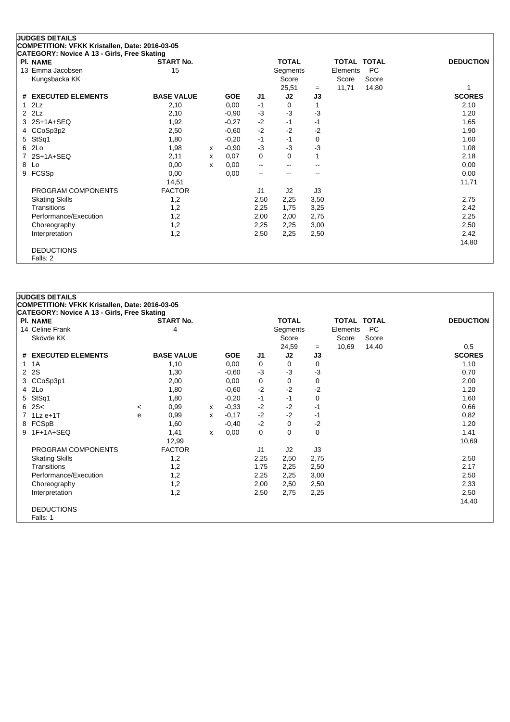| <b>PI. NAME</b>       | <b>START No.</b>  |   |            |                          | <b>TOTAL</b> |      | TOTAL    | <b>TOTAL</b> | <b>DEDUCTION</b> |
|-----------------------|-------------------|---|------------|--------------------------|--------------|------|----------|--------------|------------------|
| 13 Emma Jacobsen      | 15                |   |            |                          | Segments     |      | Elements | PC           |                  |
| Kungsbacka KK         |                   |   |            |                          | Score        |      | Score    | Score        |                  |
|                       |                   |   |            |                          | 25,51        | $=$  | 11,71    | 14,80        |                  |
| # EXECUTED ELEMENTS   | <b>BASE VALUE</b> |   | <b>GOE</b> | J <sub>1</sub>           | J2           | J3   |          |              | <b>SCORES</b>    |
| $1$ $2Lz$             | 2,10              |   | 0,00       | -1                       | 0            |      |          |              | 2,10             |
| $2$ $2$ Lz            | 2,10              |   | $-0,90$    | $-3$                     | -3           | $-3$ |          |              | 1,20             |
| 3 2S+1A+SEQ           | 1,92              |   | $-0,27$    | $-2$                     | $-1$         | -1   |          |              | 1,65             |
| 4 CCoSp3p2            | 2,50              |   | $-0,60$    | $-2$                     | $-2$         | -2   |          |              | 1,90             |
| 5 StSq1               | 1,80              |   | $-0,20$    | $-1$                     | $-1$         | 0    |          |              | 1,60             |
| 6 2Lo                 | 1,98              | x | $-0,90$    | $-3$                     | -3           | $-3$ |          |              | 1,08             |
| 7 2S+1A+SEQ           | 2,11              | х | 0,07       | 0                        | 0            |      |          |              | 2,18             |
| 8 Lo                  | 0,00              | x | 0,00       | $\overline{\phantom{a}}$ | --           |      |          |              | 0,00             |
| 9 FCSSp               | 0,00              |   | 0,00       | $\overline{\phantom{a}}$ |              |      |          |              | 0,00             |
|                       | 14,51             |   |            |                          |              |      |          |              | 11,71            |
| PROGRAM COMPONENTS    | <b>FACTOR</b>     |   |            | J <sub>1</sub>           | J2           | J3   |          |              |                  |
| <b>Skating Skills</b> | 1,2               |   |            | 2,50                     | 2,25         | 3,50 |          |              | 2,75             |
| <b>Transitions</b>    | 1,2               |   |            | 2,25                     | 1,75         | 3,25 |          |              | 2,42             |
| Performance/Execution | 1,2               |   |            | 2,00                     | 2,00         | 2,75 |          |              | 2,25             |
| Choreography          | 1,2               |   |            | 2,25                     | 2,25         | 3,00 |          |              | 2,50             |
| Interpretation        | 1,2               |   |            | 2,50                     | 2,25         | 2,50 |          |              | 2,42             |
|                       |                   |   |            |                          |              |      |          |              | 14,80            |
| <b>DEDUCTIONS</b>     |                   |   |            |                          |              |      |          |              |                  |
| Falls: 2              |                   |   |            |                          |              |      |          |              |                  |

| <b>JUDGES DETAILS</b><br>COMPETITION: VFKK Kristallen, Date: 2016-03-05 |         |                   |              |            |      |              |          |                    |       |                  |
|-------------------------------------------------------------------------|---------|-------------------|--------------|------------|------|--------------|----------|--------------------|-------|------------------|
| CATEGORY: Novice A 13 - Girls, Free Skating                             |         |                   |              |            |      |              |          |                    |       |                  |
| <b>PI. NAME</b>                                                         |         | <b>START No.</b>  |              |            |      | <b>TOTAL</b> |          | <b>TOTAL TOTAL</b> |       | <b>DEDUCTION</b> |
| 14 Celine Frank                                                         |         | 4                 |              |            |      | Segments     |          | Elements           | PC    |                  |
| Skövde KK                                                               |         |                   |              |            |      | Score        |          | Score              | Score |                  |
|                                                                         |         |                   |              |            |      | 24,59        | $=$      | 10,69              | 14,40 | 0,5              |
| # EXECUTED ELEMENTS                                                     |         | <b>BASE VALUE</b> |              | <b>GOE</b> | J1   | J2           | J3       |                    |       | <b>SCORES</b>    |
| 1 1 A                                                                   |         | 1,10              |              | 0,00       | 0    | 0            | 0        |                    |       | 1,10             |
| 2 2 S                                                                   |         | 1,30              |              | $-0,60$    | $-3$ | $-3$         | $-3$     |                    |       | 0,70             |
| 3 CCoSp3p1                                                              |         | 2,00              |              | 0,00       | 0    | 0            | 0        |                    |       | 2,00             |
| 4 2Lo                                                                   |         | 1,80              |              | $-0,60$    | $-2$ | $-2$         | $-2$     |                    |       | 1,20             |
| 5 StSq1                                                                 |         | 1,80              |              | $-0,20$    | $-1$ | $-1$         | 0        |                    |       | 1,60             |
| 62S<                                                                    | $\prec$ | 0,99              | $\mathsf{x}$ | $-0,33$    | $-2$ | $-2$         | $-1$     |                    |       | 0,66             |
| $7$ 1 Lz e + 1 T                                                        | e       | 0,99              | x            | $-0,17$    | $-2$ | $-2$         | -1       |                    |       | 0,82             |
| 8 FCSpB                                                                 |         | 1,60              |              | $-0,40$    | $-2$ | 0            | $-2$     |                    |       | 1,20             |
| 9 1F+1A+SEQ                                                             |         | 1,41              | x            | 0,00       | 0    | $\mathbf 0$  | $\Omega$ |                    |       | 1,41             |
|                                                                         |         | 12,99             |              |            |      |              |          |                    |       | 10,69            |
| PROGRAM COMPONENTS                                                      |         | <b>FACTOR</b>     |              |            | J1   | J2           | J3       |                    |       |                  |
| <b>Skating Skills</b>                                                   |         | 1,2               |              |            | 2,25 | 2,50         | 2,75     |                    |       | 2,50             |
| Transitions                                                             |         | 1,2               |              |            | 1,75 | 2,25         | 2,50     |                    |       | 2,17             |
| Performance/Execution                                                   |         | 1,2               |              |            | 2,25 | 2,25         | 3,00     |                    |       | 2,50             |
| Choreography                                                            |         | 1,2               |              |            | 2,00 | 2,50         | 2,50     |                    |       | 2,33             |
| Interpretation                                                          |         | 1,2               |              |            | 2,50 | 2,75         | 2,25     |                    |       | 2,50             |
|                                                                         |         |                   |              |            |      |              |          |                    |       | 14,40            |
| <b>DEDUCTIONS</b>                                                       |         |                   |              |            |      |              |          |                    |       |                  |
| Falls: 1                                                                |         |                   |              |            |      |              |          |                    |       |                  |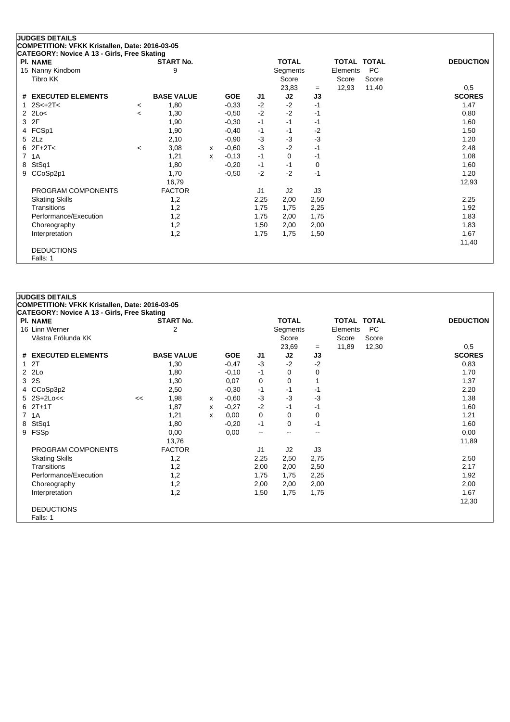| CATEGORT. NOVICE A 13 - GINS, FIEE SKAUDIG<br><b>PI. NAME</b> |                          | <b>START No.</b>  |   |            |      | <b>TOTAL</b> |      | TOTAL TOTAL |       | <b>DEDUCTION</b> |
|---------------------------------------------------------------|--------------------------|-------------------|---|------------|------|--------------|------|-------------|-------|------------------|
| 15 Nanny Kindbom                                              |                          | 9                 |   |            |      | Segments     |      | Elements    | PC    |                  |
| Tibro KK                                                      |                          |                   |   |            |      | Score        |      | Score       | Score |                  |
|                                                               |                          |                   |   |            |      | 23,83        | $=$  | 12,93       | 11,40 | 0,5              |
| # EXECUTED ELEMENTS                                           |                          | <b>BASE VALUE</b> |   | <b>GOE</b> | J1   | J2           | J3   |             |       | <b>SCORES</b>    |
| $2S< +2T<$                                                    | $\,<\,$                  | 1,80              |   | $-0.33$    | $-2$ | $-2$         | $-1$ |             |       | 1,47             |
| $2$ $2$ $Lo<$                                                 | $\overline{\phantom{a}}$ | 1,30              |   | $-0.50$    | $-2$ | $-2$         | -1   |             |       | 0,80             |
| 3 2F                                                          |                          | 1,90              |   | $-0,30$    | $-1$ | $-1$         | -1   |             |       | 1,60             |
| 4 FCSp1                                                       |                          | 1,90              |   | $-0,40$    | -1   | -1           | $-2$ |             |       | 1,50             |
| 5 2Lz                                                         |                          | 2,10              |   | $-0.90$    | -3   | $-3$         | $-3$ |             |       | 1,20             |
| $6$ 2F+2T<                                                    | $\,<\,$                  | 3,08              | x | $-0,60$    | $-3$ | $-2$         | $-1$ |             |       | 2,48             |
| 7 1A                                                          |                          | 1,21              | x | $-0,13$    | $-1$ | 0            | -1   |             |       | 1,08             |
| 8 StSq1                                                       |                          | 1,80              |   | $-0,20$    | -1   | $-1$         | 0    |             |       | 1,60             |
| 9 CCoSp2p1                                                    |                          | 1,70              |   | $-0,50$    | $-2$ | $-2$         | $-1$ |             |       | 1,20             |
|                                                               |                          | 16,79             |   |            |      |              |      |             |       | 12,93            |
| PROGRAM COMPONENTS                                            |                          | <b>FACTOR</b>     |   |            | J1   | J2           | J3   |             |       |                  |
| <b>Skating Skills</b>                                         |                          | 1,2               |   |            | 2,25 | 2,00         | 2,50 |             |       | 2,25             |
| <b>Transitions</b>                                            |                          | 1,2               |   |            | 1,75 | 1,75         | 2,25 |             |       | 1,92             |
| Performance/Execution                                         |                          | 1,2               |   |            | 1,75 | 2,00         | 1,75 |             |       | 1,83             |
| Choreography                                                  |                          | 1,2               |   |            | 1,50 | 2,00         | 2,00 |             |       | 1,83             |
| Interpretation                                                |                          | 1,2               |   |            | 1,75 | 1,75         | 1,50 |             |       | 1,67             |
|                                                               |                          |                   |   |            |      |              |      |             |       | 11,40            |
| <b>DEDUCTIONS</b>                                             |                          |                   |   |            |      |              |      |             |       |                  |
| Falls: 1                                                      |                          |                   |   |            |      |              |      |             |       |                  |

| COMPETITION: VFKK Kristallen, Date: 2016-03-05<br>CATEGORY: Novice A 13 - Girls, Free Skating<br><b>START No.</b><br><b>TOTAL</b><br><b>DEDUCTION</b><br><b>PI. NAME</b><br><b>TOTAL TOTAL</b><br>$\overline{2}$<br>PC<br>16 Linn Werner<br>Segments<br>Elements<br>Västra Frölunda KK<br>Score<br>Score<br>Score<br>23,69<br>11,89<br>12,30<br>0,5<br>$=$<br><b>SCORES</b><br><b>BASE VALUE</b><br># EXECUTED ELEMENTS<br><b>GOE</b><br>J2<br>J3<br>J1<br>$-2$<br>$-2$<br>$-3$<br>12T<br>1,30<br>$-0,47$<br>0,83<br>$2$ $2Lo$<br>1,80<br>$-0,10$<br>$-1$<br>0<br>0<br>1,70<br>3 2S<br>1,30<br>0<br>0<br>1,37<br>0,07<br>4 CCoSp3p2<br>2,50<br>$-1$<br>2,20<br>$-0,30$<br>$-1$<br>-1<br>$5$ 2S+2Lo<<<br>$-3$<br>$-3$<br>$-3$<br>1,98<br>$-0,60$<br>1,38<br><<<br>x<br>$62T+1T$<br>1,87<br>$-2$<br>$-0,27$<br>$-1$<br>$-1$<br>1,60<br>x<br>7 1A<br>0<br>1,21<br>0,00<br>0<br>1,21<br>0<br>x<br>8 StSq1<br>-1<br>1,80<br>$-0,20$<br>$-1$<br>0<br>1,60<br>9 FSSp<br>0,00<br>0,00<br>0,00<br>--<br>$\overline{\phantom{a}}$<br>--<br>13,76<br>11,89<br>PROGRAM COMPONENTS<br><b>FACTOR</b><br>J2<br>J3<br>J1<br><b>Skating Skills</b><br>1,2<br>2,25<br>2,75<br>2,50<br>2,50<br>1,2<br>Transitions<br>2,00<br>2,00<br>2,50<br>2,17<br>Performance/Execution<br>1,2<br>1,75<br>1,75<br>2,25<br>1,92<br>1,2<br>Choreography<br>2,00<br>2,00<br>2,00<br>2,00<br>1,2<br>1,50<br>Interpretation<br>1,75<br>1,75<br>1,67<br>12,30<br><b>DEDUCTIONS</b><br>Falls: 1 | <b>JUDGES DETAILS</b> |  |  |  |  |  |
|----------------------------------------------------------------------------------------------------------------------------------------------------------------------------------------------------------------------------------------------------------------------------------------------------------------------------------------------------------------------------------------------------------------------------------------------------------------------------------------------------------------------------------------------------------------------------------------------------------------------------------------------------------------------------------------------------------------------------------------------------------------------------------------------------------------------------------------------------------------------------------------------------------------------------------------------------------------------------------------------------------------------------------------------------------------------------------------------------------------------------------------------------------------------------------------------------------------------------------------------------------------------------------------------------------------------------------------------------------------------------------------------------------------------------------------------------------|-----------------------|--|--|--|--|--|
|                                                                                                                                                                                                                                                                                                                                                                                                                                                                                                                                                                                                                                                                                                                                                                                                                                                                                                                                                                                                                                                                                                                                                                                                                                                                                                                                                                                                                                                          |                       |  |  |  |  |  |
|                                                                                                                                                                                                                                                                                                                                                                                                                                                                                                                                                                                                                                                                                                                                                                                                                                                                                                                                                                                                                                                                                                                                                                                                                                                                                                                                                                                                                                                          |                       |  |  |  |  |  |
|                                                                                                                                                                                                                                                                                                                                                                                                                                                                                                                                                                                                                                                                                                                                                                                                                                                                                                                                                                                                                                                                                                                                                                                                                                                                                                                                                                                                                                                          |                       |  |  |  |  |  |
|                                                                                                                                                                                                                                                                                                                                                                                                                                                                                                                                                                                                                                                                                                                                                                                                                                                                                                                                                                                                                                                                                                                                                                                                                                                                                                                                                                                                                                                          |                       |  |  |  |  |  |
|                                                                                                                                                                                                                                                                                                                                                                                                                                                                                                                                                                                                                                                                                                                                                                                                                                                                                                                                                                                                                                                                                                                                                                                                                                                                                                                                                                                                                                                          |                       |  |  |  |  |  |
|                                                                                                                                                                                                                                                                                                                                                                                                                                                                                                                                                                                                                                                                                                                                                                                                                                                                                                                                                                                                                                                                                                                                                                                                                                                                                                                                                                                                                                                          |                       |  |  |  |  |  |
|                                                                                                                                                                                                                                                                                                                                                                                                                                                                                                                                                                                                                                                                                                                                                                                                                                                                                                                                                                                                                                                                                                                                                                                                                                                                                                                                                                                                                                                          |                       |  |  |  |  |  |
|                                                                                                                                                                                                                                                                                                                                                                                                                                                                                                                                                                                                                                                                                                                                                                                                                                                                                                                                                                                                                                                                                                                                                                                                                                                                                                                                                                                                                                                          |                       |  |  |  |  |  |
|                                                                                                                                                                                                                                                                                                                                                                                                                                                                                                                                                                                                                                                                                                                                                                                                                                                                                                                                                                                                                                                                                                                                                                                                                                                                                                                                                                                                                                                          |                       |  |  |  |  |  |
|                                                                                                                                                                                                                                                                                                                                                                                                                                                                                                                                                                                                                                                                                                                                                                                                                                                                                                                                                                                                                                                                                                                                                                                                                                                                                                                                                                                                                                                          |                       |  |  |  |  |  |
|                                                                                                                                                                                                                                                                                                                                                                                                                                                                                                                                                                                                                                                                                                                                                                                                                                                                                                                                                                                                                                                                                                                                                                                                                                                                                                                                                                                                                                                          |                       |  |  |  |  |  |
|                                                                                                                                                                                                                                                                                                                                                                                                                                                                                                                                                                                                                                                                                                                                                                                                                                                                                                                                                                                                                                                                                                                                                                                                                                                                                                                                                                                                                                                          |                       |  |  |  |  |  |
|                                                                                                                                                                                                                                                                                                                                                                                                                                                                                                                                                                                                                                                                                                                                                                                                                                                                                                                                                                                                                                                                                                                                                                                                                                                                                                                                                                                                                                                          |                       |  |  |  |  |  |
|                                                                                                                                                                                                                                                                                                                                                                                                                                                                                                                                                                                                                                                                                                                                                                                                                                                                                                                                                                                                                                                                                                                                                                                                                                                                                                                                                                                                                                                          |                       |  |  |  |  |  |
|                                                                                                                                                                                                                                                                                                                                                                                                                                                                                                                                                                                                                                                                                                                                                                                                                                                                                                                                                                                                                                                                                                                                                                                                                                                                                                                                                                                                                                                          |                       |  |  |  |  |  |
|                                                                                                                                                                                                                                                                                                                                                                                                                                                                                                                                                                                                                                                                                                                                                                                                                                                                                                                                                                                                                                                                                                                                                                                                                                                                                                                                                                                                                                                          |                       |  |  |  |  |  |
|                                                                                                                                                                                                                                                                                                                                                                                                                                                                                                                                                                                                                                                                                                                                                                                                                                                                                                                                                                                                                                                                                                                                                                                                                                                                                                                                                                                                                                                          |                       |  |  |  |  |  |
|                                                                                                                                                                                                                                                                                                                                                                                                                                                                                                                                                                                                                                                                                                                                                                                                                                                                                                                                                                                                                                                                                                                                                                                                                                                                                                                                                                                                                                                          |                       |  |  |  |  |  |
|                                                                                                                                                                                                                                                                                                                                                                                                                                                                                                                                                                                                                                                                                                                                                                                                                                                                                                                                                                                                                                                                                                                                                                                                                                                                                                                                                                                                                                                          |                       |  |  |  |  |  |
|                                                                                                                                                                                                                                                                                                                                                                                                                                                                                                                                                                                                                                                                                                                                                                                                                                                                                                                                                                                                                                                                                                                                                                                                                                                                                                                                                                                                                                                          |                       |  |  |  |  |  |
|                                                                                                                                                                                                                                                                                                                                                                                                                                                                                                                                                                                                                                                                                                                                                                                                                                                                                                                                                                                                                                                                                                                                                                                                                                                                                                                                                                                                                                                          |                       |  |  |  |  |  |
|                                                                                                                                                                                                                                                                                                                                                                                                                                                                                                                                                                                                                                                                                                                                                                                                                                                                                                                                                                                                                                                                                                                                                                                                                                                                                                                                                                                                                                                          |                       |  |  |  |  |  |
|                                                                                                                                                                                                                                                                                                                                                                                                                                                                                                                                                                                                                                                                                                                                                                                                                                                                                                                                                                                                                                                                                                                                                                                                                                                                                                                                                                                                                                                          |                       |  |  |  |  |  |
|                                                                                                                                                                                                                                                                                                                                                                                                                                                                                                                                                                                                                                                                                                                                                                                                                                                                                                                                                                                                                                                                                                                                                                                                                                                                                                                                                                                                                                                          |                       |  |  |  |  |  |
|                                                                                                                                                                                                                                                                                                                                                                                                                                                                                                                                                                                                                                                                                                                                                                                                                                                                                                                                                                                                                                                                                                                                                                                                                                                                                                                                                                                                                                                          |                       |  |  |  |  |  |
|                                                                                                                                                                                                                                                                                                                                                                                                                                                                                                                                                                                                                                                                                                                                                                                                                                                                                                                                                                                                                                                                                                                                                                                                                                                                                                                                                                                                                                                          |                       |  |  |  |  |  |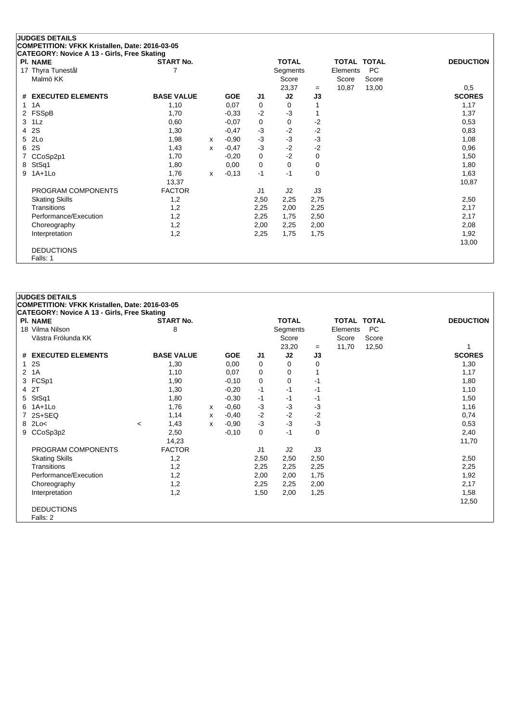|   | <b>PRESERVATOR AND PROPERTY OF PROPERTY</b><br>PI. NAME | <b>START No.</b>  |   |            |                | <b>TOTAL</b> |      | TOTAL TOTAL |           | <b>DEDUCTION</b> |
|---|---------------------------------------------------------|-------------------|---|------------|----------------|--------------|------|-------------|-----------|------------------|
|   | 17 Thyra Tunestål                                       |                   |   |            |                | Segments     |      | Elements    | <b>PC</b> |                  |
|   | Malmö KK                                                |                   |   |            |                | Score        |      | Score       | Score     |                  |
|   |                                                         |                   |   |            |                | 23,37        | $=$  | 10,87       | 13,00     | 0,5              |
|   | # EXECUTED ELEMENTS                                     | <b>BASE VALUE</b> |   | <b>GOE</b> | J1             | J2           | J3   |             |           | <b>SCORES</b>    |
|   | 1 1 A                                                   | 1,10              |   | 0,07       | 0              | 0            |      |             |           | 1,17             |
|   | 2 FSSpB                                                 | 1,70              |   | $-0,33$    | $-2$           | $-3$         |      |             |           | 1,37             |
|   | 3 1Lz                                                   | 0,60              |   | $-0,07$    | 0              | 0            | $-2$ |             |           | 0,53             |
|   | 4 2S                                                    | 1,30              |   | $-0,47$    | $-3$           | $-2$         | $-2$ |             |           | 0,83             |
|   | 5 2Lo                                                   | 1,98              | х | $-0.90$    | $-3$           | $-3$         | $-3$ |             |           | 1,08             |
|   | 6 2S                                                    | 1,43              | x | $-0,47$    | $-3$           | $-2$         | $-2$ |             |           | 0,96             |
|   | 7 CCoSp2p1                                              | 1,70              |   | $-0,20$    | 0              | $-2$         | 0    |             |           | 1,50             |
|   | 8 StSq1                                                 | 1,80              |   | 0,00       | 0              | 0            | 0    |             |           | 1,80             |
| 9 | $1A+1L0$                                                | 1,76              | x | $-0,13$    | $-1$           | $-1$         | 0    |             |           | 1,63             |
|   |                                                         | 13,37             |   |            |                |              |      |             |           | 10,87            |
|   | PROGRAM COMPONENTS                                      | <b>FACTOR</b>     |   |            | J <sub>1</sub> | J2           | J3   |             |           |                  |
|   | <b>Skating Skills</b>                                   | 1,2               |   |            | 2,50           | 2,25         | 2,75 |             |           | 2,50             |
|   | <b>Transitions</b>                                      | 1,2               |   |            | 2,25           | 2,00         | 2,25 |             |           | 2,17             |
|   | Performance/Execution                                   | 1,2               |   |            | 2,25           | 1,75         | 2,50 |             |           | 2,17             |
|   | Choreography                                            | 1,2               |   |            | 2,00           | 2,25         | 2,00 |             |           | 2,08             |
|   | Interpretation                                          | 1,2               |   |            | 2,25           | 1,75         | 1,75 |             |           | 1,92             |
|   |                                                         |                   |   |            |                |              |      |             |           | 13,00            |
|   | <b>DEDUCTIONS</b>                                       |                   |   |            |                |              |      |             |           |                  |
|   | Falls: 1                                                |                   |   |            |                |              |      |             |           |                  |

|    | <b>JUDGES DETAILS</b>                                                                                |                          |                   |   |            |                |              |      |             |           |                  |  |  |
|----|------------------------------------------------------------------------------------------------------|--------------------------|-------------------|---|------------|----------------|--------------|------|-------------|-----------|------------------|--|--|
|    | COMPETITION: VFKK Kristallen, Date: 2016-03-05<br><b>CATEGORY: Novice A 13 - Girls, Free Skating</b> |                          |                   |   |            |                |              |      |             |           |                  |  |  |
|    | <b>PI. NAME</b>                                                                                      |                          | <b>START No.</b>  |   |            |                | <b>TOTAL</b> |      | TOTAL TOTAL |           | <b>DEDUCTION</b> |  |  |
|    | 18 Vilma Nilson                                                                                      |                          | 8                 |   |            |                | Segments     |      | Elements    | <b>PC</b> |                  |  |  |
|    | Västra Frölunda KK                                                                                   |                          |                   |   |            |                | Score        |      | Score       | Score     |                  |  |  |
|    |                                                                                                      |                          |                   |   |            |                | 23,20        | $=$  | 11,70       | 12,50     |                  |  |  |
|    | # EXECUTED ELEMENTS                                                                                  |                          | <b>BASE VALUE</b> |   | <b>GOE</b> | J <sub>1</sub> | J2           | J3   |             |           | <b>SCORES</b>    |  |  |
|    | 1 2S                                                                                                 |                          | 1,30              |   | 0,00       | 0              | 0            | 0    |             |           | 1,30             |  |  |
|    | 2 1A                                                                                                 |                          | 1,10              |   | 0,07       | 0              | 0            |      |             |           | 1,17             |  |  |
|    | 3 FCSp1                                                                                              |                          | 1,90              |   | $-0,10$    | 0              | 0            | $-1$ |             |           | 1,80             |  |  |
|    | 4 2T                                                                                                 |                          | 1,30              |   | $-0,20$    | -1             | $-1$         | -1   |             |           | 1,10             |  |  |
| 5  | StSq1                                                                                                |                          | 1,80              |   | $-0,30$    | $-1$           | $-1$         | -1   |             |           | 1,50             |  |  |
| 6. | 1A+1Lo                                                                                               |                          | 1,76              | x | $-0,60$    | $-3$           | -3           | $-3$ |             |           | 1,16             |  |  |
|    | 7 2S+SEQ                                                                                             |                          | 1,14              | x | $-0,40$    | $-2$           | $-2$         | $-2$ |             |           | 0,74             |  |  |
|    | 8 2Lo<                                                                                               | $\overline{\phantom{a}}$ | 1,43              | x | $-0,90$    | $-3$           | $-3$         | $-3$ |             |           | 0,53             |  |  |
|    | 9 CCoSp3p2                                                                                           |                          | 2,50              |   | $-0,10$    | 0              | $-1$         | 0    |             |           | 2,40             |  |  |
|    |                                                                                                      |                          | 14,23             |   |            |                |              |      |             |           | 11,70            |  |  |
|    | PROGRAM COMPONENTS                                                                                   |                          | <b>FACTOR</b>     |   |            | J <sub>1</sub> | J2           | J3   |             |           |                  |  |  |
|    | <b>Skating Skills</b>                                                                                |                          | 1,2               |   |            | 2,50           | 2,50         | 2,50 |             |           | 2,50             |  |  |
|    | Transitions                                                                                          |                          | 1,2               |   |            | 2,25           | 2,25         | 2,25 |             |           | 2,25             |  |  |
|    | Performance/Execution                                                                                |                          | 1,2               |   |            | 2,00           | 2,00         | 1,75 |             |           | 1,92             |  |  |
|    | Choreography                                                                                         |                          | 1,2               |   |            | 2,25           | 2,25         | 2,00 |             |           | 2,17             |  |  |
|    | Interpretation                                                                                       |                          | 1,2               |   |            | 1,50           | 2,00         | 1,25 |             |           | 1,58             |  |  |
|    |                                                                                                      |                          |                   |   |            |                |              |      |             |           | 12,50            |  |  |
|    | <b>DEDUCTIONS</b>                                                                                    |                          |                   |   |            |                |              |      |             |           |                  |  |  |
|    | Falls: 2                                                                                             |                          |                   |   |            |                |              |      |             |           |                  |  |  |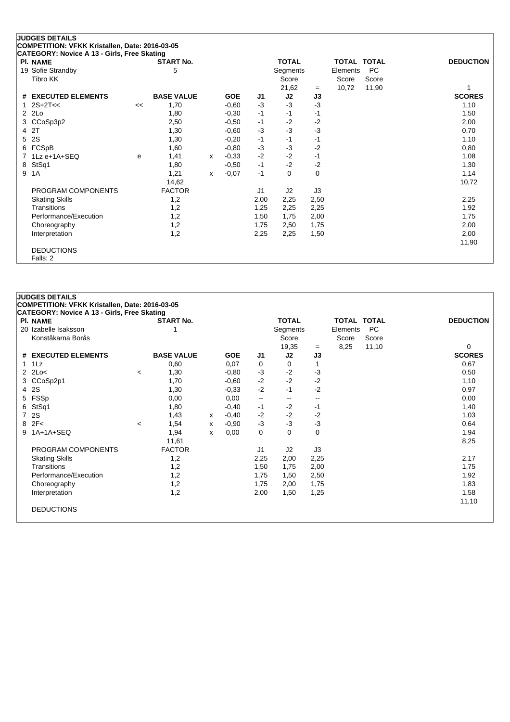|   | <b>PI. NAME</b>       |    | <b>START No.</b>  |   |            |                | <b>TOTAL</b> |      | TOTAL TOTAL |       | <b>DEDUCTION</b> |
|---|-----------------------|----|-------------------|---|------------|----------------|--------------|------|-------------|-------|------------------|
|   | 19 Sofie Strandby     | 5  |                   |   |            |                | Segments     |      | Elements    | PC    |                  |
|   | Tibro KK              |    |                   |   |            |                | Score        |      | Score       | Score |                  |
|   |                       |    |                   |   |            |                | 21,62        | $=$  | 10,72       | 11,90 |                  |
|   | # EXECUTED ELEMENTS   |    | <b>BASE VALUE</b> |   | <b>GOE</b> | J1             | J2           | J3   |             |       | <b>SCORES</b>    |
|   | 1 $2S+2T<<$           | << | 1,70              |   | $-0,60$    | $-3$           | $-3$         | -3   |             |       | 1,10             |
|   | $2$ $2Lo$             |    | 1,80              |   | $-0.30$    | $-1$           | -1           | -1   |             |       | 1,50             |
|   | 3 CCoSp3p2            |    | 2,50              |   | $-0.50$    | $-1$           | $-2$         | -2   |             |       | 2,00             |
|   | 4 2T                  |    | 1,30              |   | $-0,60$    | $-3$           | $-3$         | -3   |             |       | 0,70             |
|   | 5 2S                  |    | 1,30              |   | $-0,20$    | $-1$           | -1           | -1   |             |       | 1,10             |
|   | 6 FCSpB               |    | 1,60              |   | $-0.80$    | $-3$           | $-3$         | $-2$ |             |       | 0,80             |
|   | 7 1Lz e+1A+SEQ        | e  | 1,41              | x | $-0.33$    | $-2$           | $-2$         | $-1$ |             |       | 1,08             |
|   | 8 StSq1               |    | 1,80              |   | $-0.50$    | $-1$           | $-2$         | $-2$ |             |       | 1,30             |
| 9 | 1A                    |    | 1,21              | x | $-0,07$    | $-1$           | 0            | 0    |             |       | 1,14             |
|   |                       |    | 14,62             |   |            |                |              |      |             |       | 10,72            |
|   | PROGRAM COMPONENTS    |    | <b>FACTOR</b>     |   |            | J <sub>1</sub> | J2           | J3   |             |       |                  |
|   | <b>Skating Skills</b> |    | 1,2               |   |            | 2,00           | 2,25         | 2,50 |             |       | 2,25             |
|   | <b>Transitions</b>    |    | 1,2               |   |            | 1,25           | 2,25         | 2,25 |             |       | 1,92             |
|   | Performance/Execution |    | 1,2               |   |            | 1,50           | 1,75         | 2,00 |             |       | 1,75             |
|   | Choreography          |    | 1,2               |   |            | 1,75           | 2,50         | 1,75 |             |       | 2,00             |
|   | Interpretation        |    | 1,2               |   |            | 2,25           | 2,25         | 1,50 |             |       | 2,00             |
|   |                       |    |                   |   |            |                |              |      |             |       | 11,90            |
|   | <b>DEDUCTIONS</b>     |    |                   |   |            |                |              |      |             |       |                  |
|   | Falls: 2              |    |                   |   |            |                |              |      |             |       |                  |

## **JUDGES DETAILS COMPETITION: VFKK Kristallen, Date: 2016-03-05 CATEGORY: Novice A 13 - Girls, Free Skating Pl. NAME START No. TOTAL TOTAL TOTAL DEDUCTION** 20 Izabelle Isaksson 1 30 Izabelle Isaksson 1 3 Isabelle Isaksson 1 Segments Elements PC Konståkarna Borås Score Score Score Score Score Score Score Score Score Score Score Score Score Score Score Score Score Score Score Score Score Score Score Score Score Score Score Score Score Score Score Score Score Score 19,35 <sup>=</sup> 8,25 11,10 0 **# EXECUTED ELEMENTS BASE VALUE GOE J1 J2 J3 SCORES** 1 1Lz 0,60 0,07 0 0 1 0,67 2 2Lo< <sup>&</sup>lt; 1,30 -0,80 -3 -2 -3 0,50 3 CCoSp2p1 1,70 -0,60 -2 -2 1,10 4 2S 1,30 -0,33 -2 -1 -2 0,97 5 FSSp 0,00 0,00 -- -- -- 0,00 6 StSq1 1,80 -0,40 -1 -2 -1 1,40 7 2S 1,43 <sup>x</sup> -0,40 -2 -2 -2 1,03 8 2F< <sup>&</sup>lt; 1,54 <sup>x</sup> -0,90 -3 -3 -3 0,64 9 1A+1A+SEQ 1,94 x 0,00 0 0 0 1,94 1,94 11,61 8,25 PROGRAM COMPONENTS FACTOR 11 J2 J3 Skating Skills 1,2 2,25 2,00 2,25 2,17 Transitions 1,2 1,50 1,75 2,00 1,75 Performance/Execution 1,2 1,75 1,50 2,50 1,92 1,92 Choreography 1,2 1,75 2,00 1,75 1,83 Interpretation 1,2 2,00 1,50 1,25 1,58 11,10 DEDUCTIONS